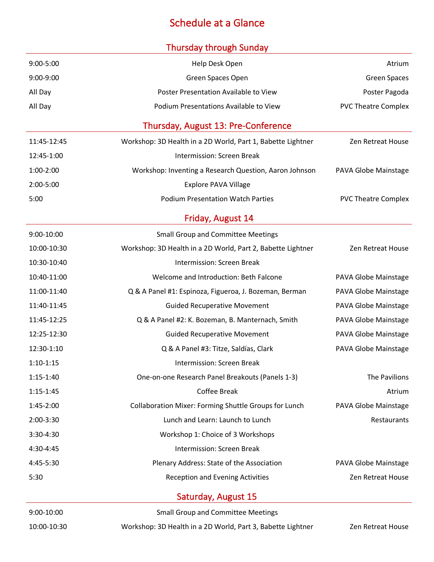## Schedule at a Glance

#### Thursday through Sunday

| $9:00 - 5:00$ | Help Desk Open                                              | Atrium                     |
|---------------|-------------------------------------------------------------|----------------------------|
| $9:00-9:00$   | Green Spaces Open                                           | <b>Green Spaces</b>        |
| All Day       | Poster Presentation Available to View                       | Poster Pagoda              |
| All Day       | Podium Presentations Available to View                      | <b>PVC Theatre Complex</b> |
|               | Thursday, August 13: Pre-Conference                         |                            |
| 11:45-12:45   | Workshop: 3D Health in a 2D World, Part 1, Babette Lightner | <b>Zen Retreat House</b>   |
| 12:45-1:00    | <b>Intermission: Screen Break</b>                           |                            |
| 1:00-2:00     | Workshop: Inventing a Research Question, Aaron Johnson      | PAVA Globe Mainstage       |
| $2:00 - 5:00$ | <b>Explore PAVA Village</b>                                 |                            |
| 5:00          | <b>Podium Presentation Watch Parties</b>                    | <b>PVC Theatre Complex</b> |
|               | Friday, August 14                                           |                            |
| 9:00-10:00    | <b>Small Group and Committee Meetings</b>                   |                            |
| 10:00-10:30   | Workshop: 3D Health in a 2D World, Part 2, Babette Lightner | <b>Zen Retreat House</b>   |
| 10:30-10:40   | Intermission: Screen Break                                  |                            |
| 10:40-11:00   | Welcome and Introduction: Beth Falcone                      | PAVA Globe Mainstage       |
| 11:00-11:40   | Q & A Panel #1: Espinoza, Figueroa, J. Bozeman, Berman      | PAVA Globe Mainstage       |
| 11:40-11:45   | <b>Guided Recuperative Movement</b>                         | PAVA Globe Mainstage       |
| 11:45-12:25   | Q & A Panel #2: K. Bozeman, B. Manternach, Smith            | PAVA Globe Mainstage       |
| 12:25-12:30   | <b>Guided Recuperative Movement</b>                         | PAVA Globe Mainstage       |
| 12:30-1:10    | Q & A Panel #3: Titze, Saldías, Clark                       | PAVA Globe Mainstage       |
| $1:10-1:15$   | Intermission: Screen Break                                  |                            |
| 1:15-1:40     | One-on-one Research Panel Breakouts (Panels 1-3)            | The Pavilions              |
| $1:15 - 1:45$ | Coffee Break                                                | Atrium                     |
| 1:45-2:00     | Collaboration Mixer: Forming Shuttle Groups for Lunch       | PAVA Globe Mainstage       |
| 2:00-3:30     | Lunch and Learn: Launch to Lunch                            | Restaurants                |
| 3:30-4:30     | Workshop 1: Choice of 3 Workshops                           |                            |
| 4:30-4:45     | Intermission: Screen Break                                  |                            |
| 4:45-5:30     | Plenary Address: State of the Association                   | PAVA Globe Mainstage       |
| 5:30          | <b>Reception and Evening Activities</b>                     | Zen Retreat House          |
|               | Saturday, August 15                                         |                            |
| 9:00-10:00    | <b>Small Group and Committee Meetings</b>                   |                            |
| 10:00-10:30   | Workshop: 3D Health in a 2D World, Part 3, Babette Lightner | Zen Retreat House          |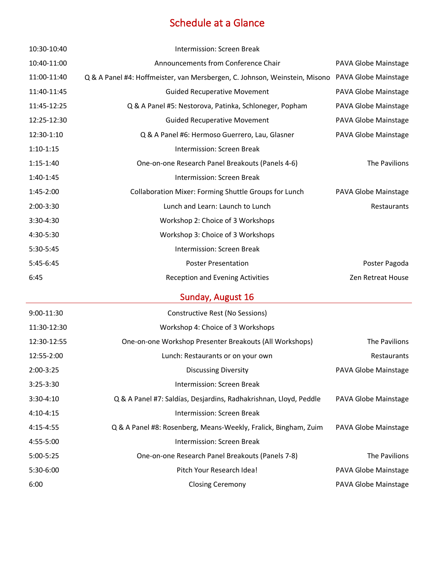## Schedule at a Glance

| 10:30-10:40 | Intermission: Screen Break                                                                      |                      |
|-------------|-------------------------------------------------------------------------------------------------|----------------------|
| 10:40-11:00 | Announcements from Conference Chair                                                             | PAVA Globe Mainstage |
| 11:00-11:40 | Q & A Panel #4: Hoffmeister, van Mersbergen, C. Johnson, Weinstein, Misono PAVA Globe Mainstage |                      |
| 11:40-11:45 | <b>Guided Recuperative Movement</b>                                                             | PAVA Globe Mainstage |
| 11:45-12:25 | Q & A Panel #5: Nestorova, Patinka, Schloneger, Popham                                          | PAVA Globe Mainstage |
| 12:25-12:30 | <b>Guided Recuperative Movement</b>                                                             | PAVA Globe Mainstage |
| 12:30-1:10  | Q & A Panel #6: Hermoso Guerrero, Lau, Glasner                                                  | PAVA Globe Mainstage |
| $1:10-1:15$ | Intermission: Screen Break                                                                      |                      |
| $1:15-1:40$ | One-on-one Research Panel Breakouts (Panels 4-6)                                                | The Pavilions        |
| $1:40-1:45$ | Intermission: Screen Break                                                                      |                      |
| 1:45-2:00   | Collaboration Mixer: Forming Shuttle Groups for Lunch                                           | PAVA Globe Mainstage |
| 2:00-3:30   | Lunch and Learn: Launch to Lunch                                                                | Restaurants          |
| 3:30-4:30   | Workshop 2: Choice of 3 Workshops                                                               |                      |
| 4:30-5:30   | Workshop 3: Choice of 3 Workshops                                                               |                      |
| 5:30-5:45   | <b>Intermission: Screen Break</b>                                                               |                      |
| 5:45-6:45   | <b>Poster Presentation</b>                                                                      | Poster Pagoda        |
| 6:45        | <b>Reception and Evening Activities</b>                                                         | Zen Retreat House    |
|             | Sunday, August 16                                                                               |                      |
| 9:00-11:30  | Constructive Rest (No Sessions)                                                                 |                      |
| 11:30-12:30 | Workshop 4: Choice of 3 Workshops                                                               |                      |
| 12:30-12:55 | One-on-one Workshop Presenter Breakouts (All Workshops)                                         | The Pavilions        |
| 12:55-2:00  | Lunch: Restaurants or on your own                                                               | Restaurants          |
| 2:00-3:25   | <b>Discussing Diversity</b>                                                                     | PAVA Globe Mainstage |
| 3:25-3:30   | Intermission: Screen Break                                                                      |                      |
| 3:30-4:10   | Q & A Panel #7: Saldías, Desjardins, Radhakrishnan, Lloyd, Peddle                               | PAVA Globe Mainstage |
| 4:10-4:15   | Intermission: Screen Break                                                                      |                      |
| 4:15-4:55   | Q & A Panel #8: Rosenberg, Means-Weekly, Fralick, Bingham, Zuim                                 | PAVA Globe Mainstage |
| 4:55-5:00   | Intermission: Screen Break                                                                      |                      |
| 5:00-5:25   | One-on-one Research Panel Breakouts (Panels 7-8)                                                | The Pavilions        |
| 5:30-6:00   | Pitch Your Research Idea!                                                                       | PAVA Globe Mainstage |
| 6:00        | <b>Closing Ceremony</b>                                                                         | PAVA Globe Mainstage |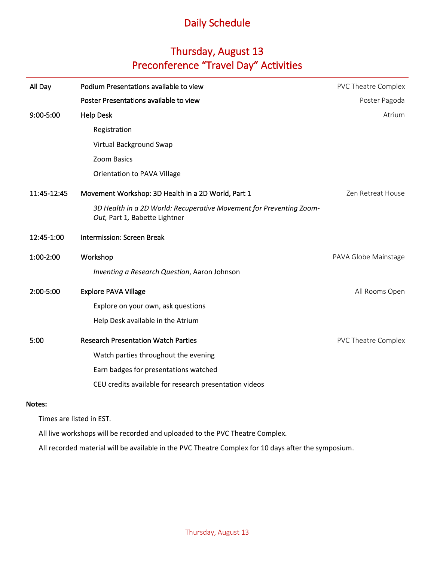#### Thursday, August 13 Preconference "Travel Day" Activities

| All Day       | Podium Presentations available to view                                                               | PVC Theatre Complex  |
|---------------|------------------------------------------------------------------------------------------------------|----------------------|
|               | Poster Presentations available to view                                                               | Poster Pagoda        |
| 9:00-5:00     | <b>Help Desk</b>                                                                                     | Atrium               |
|               | Registration                                                                                         |                      |
|               | Virtual Background Swap                                                                              |                      |
|               | Zoom Basics                                                                                          |                      |
|               | Orientation to PAVA Village                                                                          |                      |
| 11:45-12:45   | Movement Workshop: 3D Health in a 2D World, Part 1                                                   | Zen Retreat House    |
|               | 3D Health in a 2D World: Recuperative Movement for Preventing Zoom-<br>Out, Part 1, Babette Lightner |                      |
| 12:45-1:00    | <b>Intermission: Screen Break</b>                                                                    |                      |
| 1:00-2:00     | Workshop                                                                                             | PAVA Globe Mainstage |
|               | Inventing a Research Question, Aaron Johnson                                                         |                      |
| 2:00-5:00     | <b>Explore PAVA Village</b>                                                                          | All Rooms Open       |
|               | Explore on your own, ask questions                                                                   |                      |
|               | Help Desk available in the Atrium                                                                    |                      |
| 5:00          | <b>Research Presentation Watch Parties</b>                                                           | PVC Theatre Complex  |
|               | Watch parties throughout the evening                                                                 |                      |
|               | Earn badges for presentations watched                                                                |                      |
|               | CEU credits available for research presentation videos                                               |                      |
| <b>Notes:</b> |                                                                                                      |                      |

Times are listed in EST.

All live workshops will be recorded and uploaded to the PVC Theatre Complex.

All recorded material will be available in the PVC Theatre Complex for 10 days after the symposium.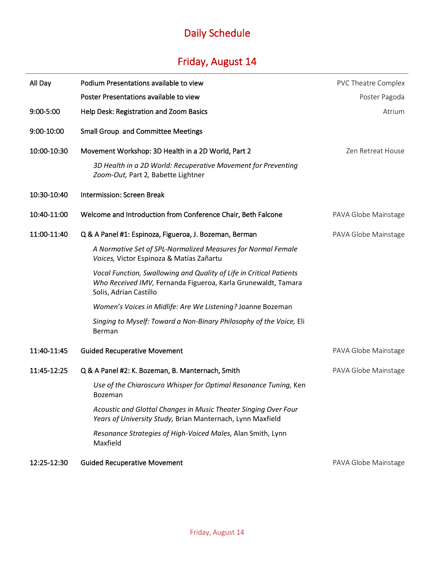# Friday, August 14

| All Day     | Podium Presentations available to view                                                                                                                         | <b>PVC Theatre Complex</b> |
|-------------|----------------------------------------------------------------------------------------------------------------------------------------------------------------|----------------------------|
|             | Poster Presentations available to view                                                                                                                         | Poster Pagoda              |
| 9:00-5:00   | Help Desk: Registration and Zoom Basics                                                                                                                        | Atrium                     |
| 9:00-10:00  | <b>Small Group and Committee Meetings</b>                                                                                                                      |                            |
| 10:00-10:30 | Movement Workshop: 3D Health in a 2D World, Part 2                                                                                                             | Zen Retreat House          |
|             | 3D Health in a 2D World: Recuperative Movement for Preventing<br>Zoom-Out, Part 2, Babette Lightner                                                            |                            |
| 10:30-10:40 | Intermission: Screen Break                                                                                                                                     |                            |
| 10:40-11:00 | Welcome and Introduction from Conference Chair, Beth Falcone                                                                                                   | PAVA Globe Mainstage       |
| 11:00-11:40 | Q & A Panel #1: Espinoza, Figueroa, J. Bozeman, Berman                                                                                                         | PAVA Globe Mainstage       |
|             | A Normative Set of SPL-Normalized Measures for Normal Female<br>Voices, Victor Espinoza & Matías Zañartu                                                       |                            |
|             | Vocal Function, Swallowing and Quality of Life in Critical Patients<br>Who Received IMV, Fernanda Figueroa, Karla Grunewaldt, Tamara<br>Solis, Adrian Castillo |                            |
|             | Women's Voices in Midlife: Are We Listening? Joanne Bozeman                                                                                                    |                            |
|             | Singing to Myself: Toward a Non-Binary Philosophy of the Voice, Eli<br>Berman                                                                                  |                            |
| 11:40-11:45 | <b>Guided Recuperative Movement</b>                                                                                                                            | PAVA Globe Mainstage       |
| 11:45-12:25 | Q & A Panel #2: K. Bozeman, B. Manternach, Smith                                                                                                               | PAVA Globe Mainstage       |
|             | Use of the Chiaroscuro Whisper for Optimal Resonance Tuning, Ken<br>Bozeman                                                                                    |                            |
|             | Acoustic and Glottal Changes in Music Theater Singing Over Four<br>Years of University Study, Brian Manternach, Lynn Maxfield                                  |                            |
|             | Resonance Strategies of High-Voiced Males, Alan Smith, Lynn<br>Maxfield                                                                                        |                            |
| 12:25-12:30 | <b>Guided Recuperative Movement</b>                                                                                                                            | PAVA Globe Mainstage       |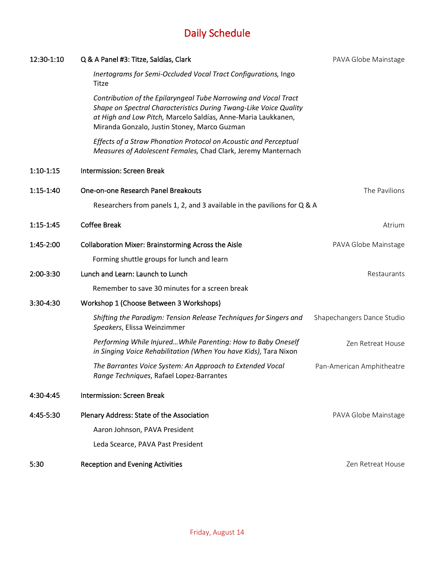| 12:30-1:10  | Q & A Panel #3: Titze, Saldías, Clark                                                                                                                                                                                                                 | PAVA Globe Mainstage       |
|-------------|-------------------------------------------------------------------------------------------------------------------------------------------------------------------------------------------------------------------------------------------------------|----------------------------|
|             | Inertograms for Semi-Occluded Vocal Tract Configurations, Ingo<br>Titze                                                                                                                                                                               |                            |
|             | Contribution of the Epilaryngeal Tube Narrowing and Vocal Tract<br>Shape on Spectral Characteristics During Twang-Like Voice Quality<br>at High and Low Pitch, Marcelo Saldías, Anne-Maria Laukkanen,<br>Miranda Gonzalo, Justin Stoney, Marco Guzman |                            |
|             | Effects of a Straw Phonation Protocol on Acoustic and Perceptual<br>Measures of Adolescent Females, Chad Clark, Jeremy Manternach                                                                                                                     |                            |
| $1:10-1:15$ | Intermission: Screen Break                                                                                                                                                                                                                            |                            |
| $1:15-1:40$ | One-on-one Research Panel Breakouts                                                                                                                                                                                                                   | The Pavilions              |
|             | Researchers from panels 1, 2, and 3 available in the pavilions for Q & A                                                                                                                                                                              |                            |
| $1:15-1:45$ | <b>Coffee Break</b>                                                                                                                                                                                                                                   | Atrium                     |
| 1:45-2:00   | <b>Collaboration Mixer: Brainstorming Across the Aisle</b>                                                                                                                                                                                            | PAVA Globe Mainstage       |
|             | Forming shuttle groups for lunch and learn                                                                                                                                                                                                            |                            |
| 2:00-3:30   | Lunch and Learn: Launch to Lunch                                                                                                                                                                                                                      | Restaurants                |
|             | Remember to save 30 minutes for a screen break                                                                                                                                                                                                        |                            |
| 3:30-4:30   | Workshop 1 (Choose Between 3 Workshops)                                                                                                                                                                                                               |                            |
|             | Shifting the Paradigm: Tension Release Techniques for Singers and<br>Speakers, Elissa Weinzimmer                                                                                                                                                      | Shapechangers Dance Studio |
|             | Performing While Injured While Parenting: How to Baby Oneself<br>in Singing Voice Rehabilitation (When You have Kids), Tara Nixon                                                                                                                     | Zen Retreat House          |
|             | The Barrantes Voice System: An Approach to Extended Vocal<br>Range Techniques, Rafael Lopez-Barrantes                                                                                                                                                 | Pan-American Amphitheatre  |
| 4:30-4:45   | <b>Intermission: Screen Break</b>                                                                                                                                                                                                                     |                            |
| 4:45-5:30   | Plenary Address: State of the Association                                                                                                                                                                                                             | PAVA Globe Mainstage       |
|             | Aaron Johnson, PAVA President                                                                                                                                                                                                                         |                            |
|             | Leda Scearce, PAVA Past President                                                                                                                                                                                                                     |                            |
| 5:30        | <b>Reception and Evening Activities</b>                                                                                                                                                                                                               | Zen Retreat House          |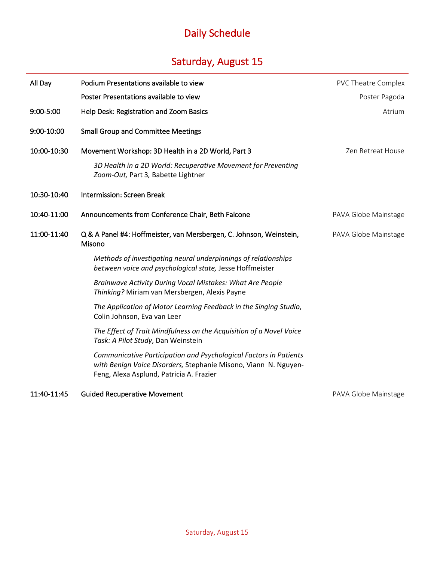## Saturday, August 15

| All Day     | Podium Presentations available to view                                                                                                                                           | PVC Theatre Complex  |
|-------------|----------------------------------------------------------------------------------------------------------------------------------------------------------------------------------|----------------------|
|             | Poster Presentations available to view                                                                                                                                           | Poster Pagoda        |
| 9:00-5:00   | Help Desk: Registration and Zoom Basics                                                                                                                                          | Atrium               |
| 9:00-10:00  | <b>Small Group and Committee Meetings</b>                                                                                                                                        |                      |
| 10:00-10:30 | Movement Workshop: 3D Health in a 2D World, Part 3                                                                                                                               | Zen Retreat House    |
|             | 3D Health in a 2D World: Recuperative Movement for Preventing<br>Zoom-Out, Part 3, Babette Lightner                                                                              |                      |
| 10:30-10:40 | <b>Intermission: Screen Break</b>                                                                                                                                                |                      |
| 10:40-11:00 | Announcements from Conference Chair, Beth Falcone                                                                                                                                | PAVA Globe Mainstage |
| 11:00-11:40 | Q & A Panel #4: Hoffmeister, van Mersbergen, C. Johnson, Weinstein,<br>Misono                                                                                                    | PAVA Globe Mainstage |
|             | Methods of investigating neural underpinnings of relationships<br>between voice and psychological state, Jesse Hoffmeister                                                       |                      |
|             | Brainwave Activity During Vocal Mistakes: What Are People<br>Thinking? Miriam van Mersbergen, Alexis Payne                                                                       |                      |
|             | The Application of Motor Learning Feedback in the Singing Studio,<br>Colin Johnson, Eva van Leer                                                                                 |                      |
|             | The Effect of Trait Mindfulness on the Acquisition of a Novel Voice<br>Task: A Pilot Study, Dan Weinstein                                                                        |                      |
|             | Communicative Participation and Psychological Factors in Patients<br>with Benign Voice Disorders, Stephanie Misono, Viann N. Nguyen-<br>Feng, Alexa Asplund, Patricia A. Frazier |                      |

#### 11:40-11:45 Guided Recuperative Movement **PAVA Globe Mainstage**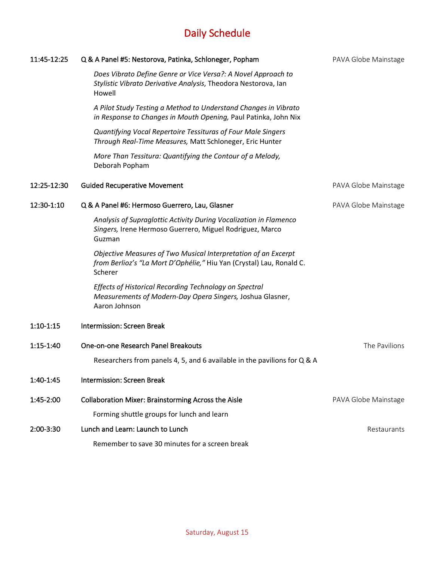| 11:45-12:25 | Q & A Panel #5: Nestorova, Patinka, Schloneger, Popham                                                                                            | PAVA Globe Mainstage |
|-------------|---------------------------------------------------------------------------------------------------------------------------------------------------|----------------------|
|             | Does Vibrato Define Genre or Vice Versa?: A Novel Approach to<br>Stylistic Vibrato Derivative Analysis, Theodora Nestorova, Ian<br>Howell         |                      |
|             | A Pilot Study Testing a Method to Understand Changes in Vibrato<br>in Response to Changes in Mouth Opening, Paul Patinka, John Nix                |                      |
|             | Quantifying Vocal Repertoire Tessituras of Four Male Singers<br>Through Real-Time Measures, Matt Schloneger, Eric Hunter                          |                      |
|             | More Than Tessitura: Quantifying the Contour of a Melody,<br>Deborah Popham                                                                       |                      |
| 12:25-12:30 | <b>Guided Recuperative Movement</b>                                                                                                               | PAVA Globe Mainstage |
| 12:30-1:10  | Q & A Panel #6: Hermoso Guerrero, Lau, Glasner                                                                                                    | PAVA Globe Mainstage |
|             | Analysis of Supraglottic Activity During Vocalization in Flamenco<br>Singers, Irene Hermoso Guerrero, Miguel Rodriguez, Marco<br>Guzman           |                      |
|             | Objective Measures of Two Musical Interpretation of an Excerpt<br>from Berlioz's "La Mort D'Ophélie," Hiu Yan (Crystal) Lau, Ronald C.<br>Scherer |                      |
|             | Effects of Historical Recording Technology on Spectral<br>Measurements of Modern-Day Opera Singers, Joshua Glasner,<br>Aaron Johnson              |                      |
| $1:10-1:15$ | <b>Intermission: Screen Break</b>                                                                                                                 |                      |
| $1:15-1:40$ | One-on-one Research Panel Breakouts<br>Researchers from panels 4, 5, and 6 available in the pavilions for Q & A                                   | The Pavilions        |
| 1:40-1:45   | <b>Intermission: Screen Break</b>                                                                                                                 |                      |
| 1:45-2:00   | <b>Collaboration Mixer: Brainstorming Across the Aisle</b>                                                                                        | PAVA Globe Mainstage |
|             | Forming shuttle groups for lunch and learn                                                                                                        |                      |
| 2:00-3:30   | Lunch and Learn: Launch to Lunch                                                                                                                  | Restaurants          |
|             | Remember to save 30 minutes for a screen break                                                                                                    |                      |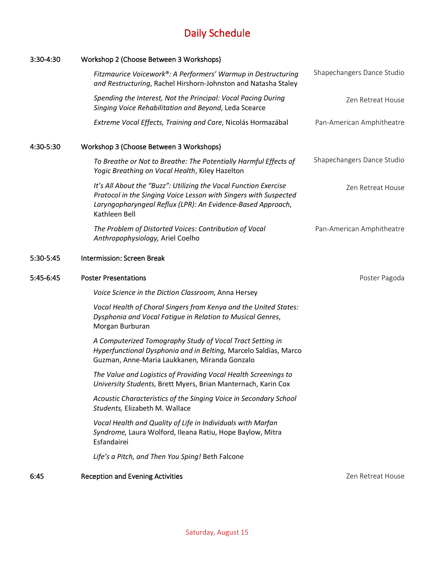| 3:30-4:30 | Workshop 2 (Choose Between 3 Workshops)                                                                                                                                                                              |                            |
|-----------|----------------------------------------------------------------------------------------------------------------------------------------------------------------------------------------------------------------------|----------------------------|
|           | Fitzmaurice Voicework®: A Performers' Warmup in Destructuring<br>and Restructuring, Rachel Hirshorn-Johnston and Natasha Staley                                                                                      | Shapechangers Dance Studio |
|           | Spending the Interest, Not the Principal: Vocal Pacing During<br>Singing Voice Rehabilitation and Beyond, Leda Scearce                                                                                               | Zen Retreat House          |
|           | Extreme Vocal Effects, Training and Care, Nicolás Hormazábal                                                                                                                                                         | Pan-American Amphitheatre  |
| 4:30-5:30 | Workshop 3 (Choose Between 3 Workshops)                                                                                                                                                                              |                            |
|           | To Breathe or Not to Breathe: The Potentially Harmful Effects of<br>Yogic Breathing on Vocal Health, Kiley Hazelton                                                                                                  | Shapechangers Dance Studio |
|           | It's All About the "Buzz": Utilizing the Vocal Function Exercise<br>Protocol in the Singing Voice Lesson with Singers with Suspected<br>Laryngopharyngeal Reflux (LPR): An Evidence-Based Approach,<br>Kathleen Bell | Zen Retreat House          |
|           | The Problem of Distorted Voices: Contribution of Vocal<br>Anthropophysiology, Ariel Coelho                                                                                                                           | Pan-American Amphitheatre  |
| 5:30-5:45 | Intermission: Screen Break                                                                                                                                                                                           |                            |
| 5:45-6:45 | <b>Poster Presentations</b>                                                                                                                                                                                          | Poster Pagoda              |
|           | Voice Science in the Diction Classroom, Anna Hersey                                                                                                                                                                  |                            |
|           | Vocal Health of Choral Singers from Kenya and the United States:<br>Dysphonia and Vocal Fatigue in Relation to Musical Genres,<br>Morgan Burburan                                                                    |                            |
|           | A Computerized Tomography Study of Vocal Tract Setting in<br>Hyperfunctional Dysphonia and in Belting, Marcelo Saldías, Marco<br>Guzman, Anne-Maria Laukkanen, Miranda Gonzalo                                       |                            |
|           | The Value and Logistics of Providing Vocal Health Screenings to<br>University Students, Brett Myers, Brian Manternach, Karin Cox                                                                                     |                            |
|           | Acoustic Characteristics of the Singing Voice in Secondary School<br>Students, Elizabeth M. Wallace                                                                                                                  |                            |
|           | Vocal Health and Quality of Life in Individuals with Marfan<br>Syndrome, Laura Wolford, Ileana Ratiu, Hope Baylow, Mitra<br>Esfandairei                                                                              |                            |
|           | Life's a Pitch, and Then You Sping! Beth Falcone                                                                                                                                                                     |                            |
| 6:45      | <b>Reception and Evening Activities</b>                                                                                                                                                                              | Zen Retreat House          |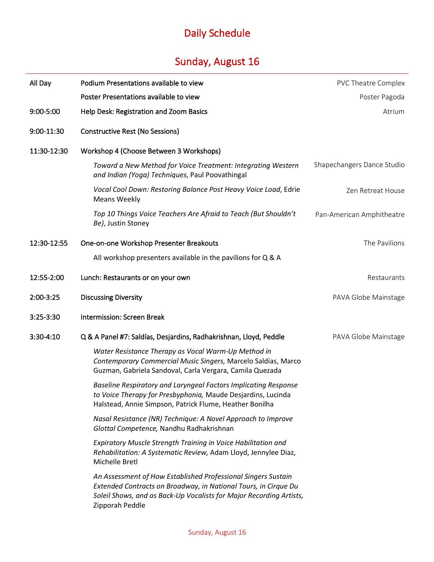## Sunday, August 16

| All Day     | Podium Presentations available to view                                                                                                                                                                                     | <b>PVC Theatre Complex</b> |
|-------------|----------------------------------------------------------------------------------------------------------------------------------------------------------------------------------------------------------------------------|----------------------------|
|             | Poster Presentations available to view                                                                                                                                                                                     | Poster Pagoda              |
| 9:00-5:00   | Help Desk: Registration and Zoom Basics                                                                                                                                                                                    | Atrium                     |
| 9:00-11:30  | <b>Constructive Rest (No Sessions)</b>                                                                                                                                                                                     |                            |
| 11:30-12:30 | Workshop 4 (Choose Between 3 Workshops)                                                                                                                                                                                    |                            |
|             | Toward a New Method for Voice Treatment: Integrating Western<br>and Indian (Yoga) Techniques, Paul Poovathingal                                                                                                            | Shapechangers Dance Studio |
|             | Vocal Cool Down: Restoring Balance Post Heavy Voice Load, Edrie<br><b>Means Weekly</b>                                                                                                                                     | Zen Retreat House          |
|             | Top 10 Things Voice Teachers Are Afraid to Teach (But Shouldn't<br>Be), Justin Stoney                                                                                                                                      | Pan-American Amphitheatre  |
| 12:30-12:55 | One-on-one Workshop Presenter Breakouts                                                                                                                                                                                    | The Pavilions              |
|             | All workshop presenters available in the pavilions for Q & A                                                                                                                                                               |                            |
| 12:55-2:00  | Lunch: Restaurants or on your own                                                                                                                                                                                          | Restaurants                |
| 2:00-3:25   | <b>Discussing Diversity</b>                                                                                                                                                                                                | PAVA Globe Mainstage       |
| 3:25-3:30   | <b>Intermission: Screen Break</b>                                                                                                                                                                                          |                            |
| $3:30-4:10$ | Q & A Panel #7: Saldías, Desjardins, Radhakrishnan, Lloyd, Peddle                                                                                                                                                          | PAVA Globe Mainstage       |
|             | Water Resistance Therapy as Vocal Warm-Up Method in<br>Contemporary Commercial Music Singers, Marcelo Saldías, Marco<br>Guzman, Gabriela Sandoval, Carla Vergara, Camila Quezada                                           |                            |
|             | Baseline Respiratory and Laryngeal Factors Implicating Response<br>to Voice Therapy for Presbyphonia, Maude Desjardins, Lucinda<br>Halstead, Annie Simpson, Patrick Flume, Heather Bonilha                                 |                            |
|             | Nasal Resistance (NR) Technique: A Novel Approach to Improve<br>Glottal Competence, Nandhu Radhakrishnan                                                                                                                   |                            |
|             | Expiratory Muscle Strength Training in Voice Habilitation and<br>Rehabilitation: A Systematic Review, Adam Lloyd, Jennylee Diaz,<br>Michelle Bretl                                                                         |                            |
|             | An Assessment of How Established Professional Singers Sustain<br>Extended Contracts on Broadway, in National Tours, in Cirque Du<br>Soleil Shows, and as Back-Up Vocalists for Major Recording Artists,<br>Zipporah Peddle |                            |